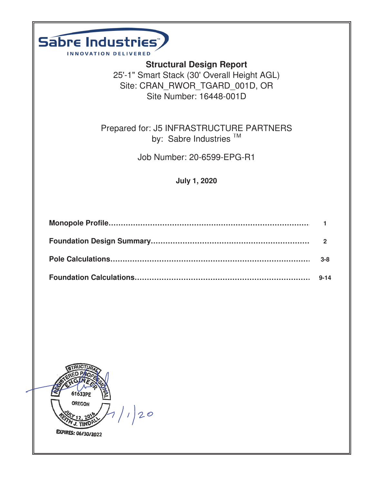| Sabre Industries"<br><b>INNOVATION DELIVERED</b>                                                                                            |              |
|---------------------------------------------------------------------------------------------------------------------------------------------|--------------|
| <b>Structural Design Report</b><br>25'-1" Smart Stack (30' Overall Height AGL)<br>Site: CRAN RWOR TGARD 001D, OR<br>Site Number: 16448-001D |              |
| Prepared for: J5 INFRASTRUCTURE PARTNERS<br>by: Sabre Industries <sup>™</sup>                                                               |              |
| Job Number: 20-6599-EPG-R1                                                                                                                  |              |
| <b>July 1, 2020</b>                                                                                                                         |              |
|                                                                                                                                             |              |
|                                                                                                                                             |              |
|                                                                                                                                             | $\mathbf{2}$ |
|                                                                                                                                             | $3 - 8$      |
|                                                                                                                                             | $9 - 14$     |
|                                                                                                                                             |              |
| 61633PE<br><b>OREGON</b><br> 20                                                                                                             |              |

**EXPIRES: 06/30/2022**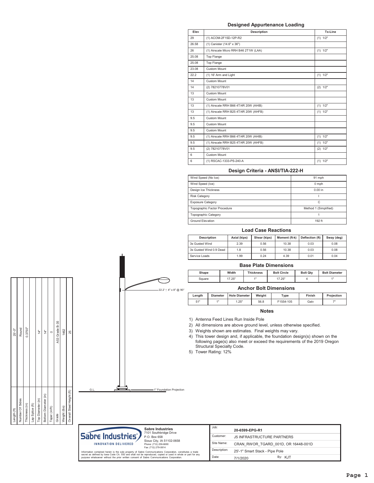### **Designed Appurtenance Loading**

| Elev  | <b>Description</b>                    | Tx-Line      |
|-------|---------------------------------------|--------------|
| 29    | (1) ACOM-2F15D-12P-R2                 | (1) 1/2"     |
| 26.58 | (1) Canister (14.6" x 36")            |              |
| 26    | (1) Airscale Micro RRH B46 2T1W (LAA) | (1) 1/2"     |
| 25.08 | Top Flange                            |              |
| 25.08 | Top Flange                            |              |
| 23.08 | Custom Mount                          |              |
| 22.2  | (1) 16' Arm and Light                 | (1) 1/2"     |
| 14    | Custom Mount                          |              |
| 14    | (2) 78210778V01                       | (2) 1/2"     |
| 13    | Custom Mount                          |              |
| 13    | Custom Mount                          |              |
| 13    | (1) Airscale RRH B66 4T/4R 20W (AHIB) | (1) 1/2"     |
| 13    | (1) Airscale RRH B25 4T/4R 20W (AHFB) | (1) 1/2"     |
| 9.5   | Custom Mount                          |              |
| 9.5   | <b>Custom Mount</b>                   |              |
| 9.5   | Custom Mount                          |              |
| 9.5   | (1) Airscale RRH B66 4T/4R 20W (AHIB) | (1) 1/2"     |
| 9.5   | (1) Airscale RRH B25 4T/4R 20W (AHFB) | $(1)$ $1/2"$ |
| 9.5   | (2) 78210778V01                       | $(2)$ $1/2"$ |
| 6     | <b>Custom Mount</b>                   |              |
| 6     | (1) RSCAC-1333-PS-240-A               | $(1)$ $1/2"$ |

### Design Criteria - ANSI/TIA-222-H

| Wind Speed (No Ice)          | 91 mph                |
|------------------------------|-----------------------|
| Wind Speed (Ice)             | $0$ mph               |
| Design Ice Thickness         | 0.00 in               |
| <b>Risk Category</b>         |                       |
| <b>Exposure Category</b>     | Ċ                     |
| Topographic Factor Procedure | Method 1 (Simplified) |
| <b>Topographic Category</b>  |                       |
| <b>Ground Elevation</b>      | 192 ft                |

### **Load Case Reactions**

| <b>Description</b>      | Axial (kips) | Shear (kips) | Moment (ft-k) | <b>Deflection (ft)</b> | Sway (deg) |
|-------------------------|--------------|--------------|---------------|------------------------|------------|
| 3s Gusted Wind          | 2.39         | 0.56         | 10.38         | 0.03                   | 0.08       |
| 3s Gusted Wind 0.9 Dead | 1.8          | 0.56         | 10.38         | 0.03                   | 0.08       |
| Service Loads           | 1.99         | 0.24         | 4.39          | 0.01                   | 0.04       |

### **Base Plate Dimensions**

| <b>Shape</b> | Width | <b>Thickness</b> | <b>Bolt Circle</b>  | <b>Bolt Qtv</b> | <b>Bolt Diameter</b> |
|--------------|-------|------------------|---------------------|-----------------|----------------------|
| `quare       | 7.25" | 4H               | <b>25"</b><br>ں ے ، |                 | 4H                   |

### **Anchor Bolt Dimensions**

| 22.2' 1 4" x 8" @ 90° | <b>Anchor Bolt Dimensions</b> |                 |                      |        |           |        |            |  |  |  |
|-----------------------|-------------------------------|-----------------|----------------------|--------|-----------|--------|------------|--|--|--|
|                       | Lenath                        | <b>Diameter</b> | <b>Hole Diameter</b> | Weight | Type      | Finish | Projection |  |  |  |
|                       | 51"                           | 4H              | 1.25"                | 56.8   | F1554-105 | Galv   | 71         |  |  |  |

## **Notes**

1) Antenna Feed Lines Run Inside Pole

2) All dimensions are above ground level, unless otherwise specified.

3) Weights shown are estimates. Final weights may vary.

4) This tower design and, if applicable, the foundation design(s) shown on the Following page(s) also meet or exceed the requirements of the 2019 Oregon<br>Structural Specialty Code.

5) Tower Rating: 12%

-1" Foundation Projection



| $25 - 0$ "  | Round           | 0.3750"        |                 | 4                 | 14"                  |               | A53 Grade B-35 | 1462         | 25                        |  |
|-------------|-----------------|----------------|-----------------|-------------------|----------------------|---------------|----------------|--------------|---------------------------|--|
| Length (ft) | Number Of Sides | Thickness (in) | Lap Splice (ft) | Top Diameter (in) | Bottom Diameter (in) | Taper (in/ft) | Grade          | Weight (lbs) | Overall Steel Height (ft) |  |

÷

Ġ.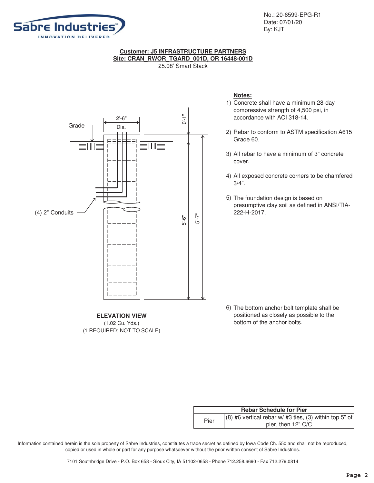

No.: 20-6599-EPG-R1 Date: 07/01/20 By: KJT

## **Customer: J5 INFRASTRUCTURE PARTNERS Site: CRAN\_RWOR\_TGARD\_001D, OR 16448-001D**

25.08' Smart Stack



## **ELEVATION VIEW** (1.02 Cu. Yds.) (1 REQUIRED; NOT TO SCALE)

## **Notes:**

- 1) Concrete shall have a minimum 28-day compressive strength of 4,500 psi, in accordance with ACI 318-14.
- 2) Rebar to conform to ASTM specification A615 Grade 60.
- 3) All rebar to have a minimum of 3" concrete cover.
- 4) All exposed concrete corners to be chamfered 3/4".
- 5) The foundation design is based on presumptive clay soil as defined in ANSI/TIA-222-H-2017.

6) The bottom anchor bolt template shall be positioned as closely as possible to the bottom of the anchor bolts.

|      | <b>Rebar Schedule for Pier</b>                           |
|------|----------------------------------------------------------|
| Pier | $(8)$ #6 vertical rebar w/ #3 ties, (3) within top 5" of |
|      | pier, then 12" C/C                                       |

Information contained herein is the sole property of Sabre Industries, constitutes a trade secret as defined by Iowa Code Ch. 550 and shall not be reproduced, copied or used in whole or part for any purpose whatsoever without the prior written consent of Sabre Industries.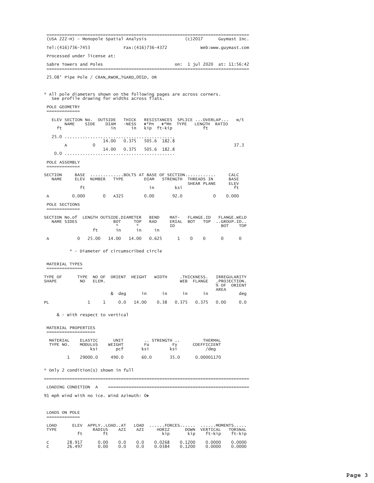| (USA 222-H) - Monopole Spatial Analysis                                                                               |                               |                |                                  |                                                              | ==================                     |       |                     | (c) 2017                                              |                                 | Guymast Inc.                                       |
|-----------------------------------------------------------------------------------------------------------------------|-------------------------------|----------------|----------------------------------|--------------------------------------------------------------|----------------------------------------|-------|---------------------|-------------------------------------------------------|---------------------------------|----------------------------------------------------|
| Tel: (416)736-7453                                                                                                    |                               |                |                                  | Fax:(416)736-4372                                            |                                        |       |                     |                                                       | Web:www.guymast.com             |                                                    |
| Processed under license at:                                                                                           |                               |                |                                  |                                                              |                                        |       |                     |                                                       |                                 |                                                    |
| Sabre Towers and Poles                                                                                                |                               |                |                                  |                                                              |                                        |       | on:                 |                                                       | 1 jul 2020 at: 11:56:42         |                                                    |
| 25.08' Pipe Pole / CRAN_RWOR_TGARD_001D, OR                                                                           |                               |                |                                  |                                                              |                                        |       |                     |                                                       |                                 |                                                    |
|                                                                                                                       |                               |                |                                  |                                                              |                                        |       |                     |                                                       |                                 |                                                    |
| * All pole diameters shown on the following pages are across corners.<br>See profile drawing for widths across flats. |                               |                |                                  |                                                              |                                        |       |                     |                                                       |                                 |                                                    |
| POLE GEOMETRY<br>-------------                                                                                        |                               |                |                                  |                                                              |                                        |       |                     |                                                       |                                 |                                                    |
| ELEV SECTION No. OUTSIDE<br><b>NAME</b><br>ft                                                                         |                               | SIDE           | <b>DIAM</b><br>in                | THICK<br>$-NESS$<br>in                                       | RESISTANCES<br>�*Pn �*Mn<br>kip ft-kip |       | <b>TYPE</b>         | ft                                                    | SPLICE OVERLAP<br>LENGTH RATIO  | w/t                                                |
| 25.0                                                                                                                  |                               |                | 14.00 0.375                      |                                                              | 505.6 182.8                            |       |                     |                                                       |                                 |                                                    |
| A                                                                                                                     |                               | 0              | 14.00                            | 0.375                                                        | 505.6 182.8                            |       |                     |                                                       |                                 | 37.3                                               |
|                                                                                                                       |                               |                |                                  |                                                              |                                        |       |                     |                                                       |                                 |                                                    |
| POLE ASSEMBLY<br>=============                                                                                        |                               |                |                                  |                                                              |                                        |       |                     |                                                       |                                 |                                                    |
| SECTION<br><b>NAME</b>                                                                                                | BASE<br>ELEV                  | NUMBER         | <b>TYPE</b>                      |                                                              | <b>DIAM</b>                            |       | <b>STRENGTH</b>     | BOLTS AT BASE OF SECTION<br>THREADS IN<br>SHEAR PLANE |                                 | CALC<br><b>BASE</b><br>ELEV                        |
|                                                                                                                       | ft                            |                |                                  |                                                              | in                                     |       | ksi                 |                                                       |                                 | ft                                                 |
| А<br>POLE SECTIONS                                                                                                    | 0.000                         |                | $\Omega$<br>A325                 |                                                              | 0.00                                   |       | 92.0                |                                                       | 0                               | 0.000                                              |
| =============                                                                                                         |                               |                |                                  |                                                              |                                        |       |                     |                                                       |                                 |                                                    |
| SECTION No.of<br>NAME SIDES                                                                                           |                               | ft             | <b>BOT</b><br>$\mathbf{x}$<br>in | LENGTH OUTSIDE.DIAMETER<br><b>TOP</b><br>$\mathcal{R}$<br>in | <b>BEND</b><br><b>RAD</b><br>in        |       | MAT-<br>ERIAL<br>ID | FLANGE.ID<br>BOT                                      | <b>TOP</b><br>BOT               | <b>FLANGE.WELD</b><br>$. .$ GROUP.ID<br><b>TOP</b> |
| A                                                                                                                     | 0                             | 25.00          | 14.00                            | 14.00                                                        | 0.625                                  |       | $\mathbf 1$         | 0<br>$\mathbf{0}$                                     | $\mathbf{0}$                    | $\mathbf 0$                                        |
|                                                                                                                       |                               |                |                                  | * - Diameter of circumscribed circle                         |                                        |       |                     |                                                       |                                 |                                                    |
| MATERIAL TYPES                                                                                                        |                               |                |                                  |                                                              |                                        |       |                     |                                                       |                                 |                                                    |
|                                                                                                                       |                               |                |                                  |                                                              |                                        |       |                     |                                                       |                                 |                                                    |
| TYPE OF<br><b>SHAPE</b>                                                                                               | <b>TYPE</b><br>N <sub>O</sub> | NO OF<br>ELEM. |                                  | ORIENT HEIGHT                                                |                                        | WIDTH | WEB                 | .THICKNESS.<br><b>FLANGE</b>                          | % OF<br>AREA                    | IRREGULARITY<br>. PROJECTION.<br>ORIENT            |
|                                                                                                                       |                               |                | & deg                            |                                                              | $\mathbf{u}$ in                        | in    |                     | in<br>in                                              |                                 | deg                                                |
| PL                                                                                                                    | 1                             |                | $\mathbf{1}$                     | 0.0                                                          |                                        |       |                     |                                                       | 14.00  0.38  0.375  0.375  0.00 | 0.0                                                |
| & - With respect to vertical                                                                                          |                               |                |                                  |                                                              |                                        |       |                     |                                                       |                                 |                                                    |
| MATERIAL PROPERTIES<br>;==============                                                                                |                               |                |                                  |                                                              |                                        |       |                     |                                                       |                                 |                                                    |
| MATERIAL ELASTIC<br>TYPE NO.                                                                                          | MODULUS                       | ksi            | UNIT<br>WEIGHT<br>pcf            |                                                              | STRENGTH<br>Fu<br>ksi                  |       | Fy<br>ksi           |                                                       | THERMAL<br>COEFFICIENT<br>/deg  |                                                    |
| 1                                                                                                                     | 29000.0                       |                | 490.0                            |                                                              | 60.0                                   |       | 35.0                |                                                       | 0.00001170                      |                                                    |
| * Only 2 condition(s) shown in full                                                                                   |                               |                |                                  |                                                              |                                        |       |                     |                                                       |                                 |                                                    |
|                                                                                                                       |                               |                |                                  |                                                              |                                        |       |                     |                                                       |                                 |                                                    |
| LOADING CONDITION A                                                                                                   |                               |                |                                  |                                                              |                                        |       |                     |                                                       |                                 |                                                    |

| LOADS ON POLE       |                  |                             |            |             |                  |                    |                                      |                   |
|---------------------|------------------|-----------------------------|------------|-------------|------------------|--------------------|--------------------------------------|-------------------|
| LOAD<br><b>TYPE</b> | FI FV<br>ft.     | APPLYLOADAT<br>RADIUS<br>ft | AZI        | LOAD<br>AZI | HORIZ<br>kip     | <b>DOWN</b><br>kip | FORCES MOMENTS<br>VERTICAL<br>ft-kip | TORSNAL<br>ft-kip |
| C                   | 28.917<br>26.497 | 0.00<br>0.00                | 0.0<br>0.0 | 0.0<br>0.0  | 0.0268<br>0.0384 | 0.1200<br>0.1200   | 0.0000<br>0.0000                     | 0.0000<br>0.0000  |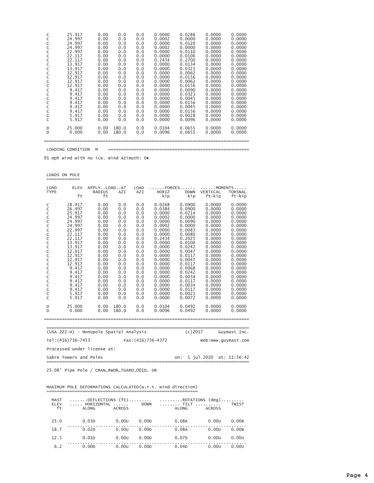| C | 25.917 | 0.00 | 0.0   | 0.0 | 0.0000 | 0.0286 | 0.0000 | 0.0000 |
|---|--------|------|-------|-----|--------|--------|--------|--------|
| C | 24.997 | 0.00 | 0.0   | 0.0 | 0.0002 | 0.0000 | 0.0000 | 0.0000 |
| C | 24.997 | 0.00 | 0.0   | 0.0 | 0.0000 | 0.0120 | 0.0000 | 0.0000 |
| C | 24.997 | 0.00 | 0.0   | 0.0 | 0.0002 | 0.0000 | 0.0000 | 0.0000 |
| C | 22.997 | 0.00 | 0.0   | 0.0 | 0.0000 | 0.0110 | 0.0000 | 0.0000 |
| C | 22.117 | 0.00 | 0.0   | 0.0 | 0.0000 | 0.0106 | 0.0000 | 0.0000 |
| C | 22.117 | 0.00 | 0.0   | 0.0 | 0.2434 | 0.2700 | 0.0000 | 0.0000 |
| C | 13.917 | 0.00 | 0.0   | 0.0 | 0.0000 | 0.0134 | 0.0000 | 0.0000 |
| C | 13.917 | 0.00 | 0.0   | 0.0 | 0.0000 | 0.0323 | 0.0000 | 0.0000 |
| C | 12.917 | 0.00 | 0.0   | 0.0 | 0.0000 | 0.0062 | 0.0000 | 0.0000 |
| C | 12.917 | 0.00 | 0.0   | 0.0 | 0.0000 | 0.0156 | 0.0000 | 0.0000 |
| C | 12.917 | 0.00 | 0.0   | 0.0 | 0.0000 | 0.0062 | 0.0000 | 0.0000 |
| C | 12.917 | 0.00 | 0.0   | 0.0 | 0.0000 | 0.0156 | 0.0000 | 0.0000 |
| C | 9.417  | 0.00 | 0.0   | 0.0 | 0.0000 | 0.0090 | 0.0000 | 0.0000 |
| C | 9.417  | 0.00 | 0.0   | 0.0 | 0.0000 | 0.0323 | 0.0000 | 0.0000 |
| C | 9.417  | 0.00 | 0.0   | 0.0 | 0.0000 | 0.0045 | 0.0000 | 0.0000 |
| C | 9.417  | 0.00 | 0.0   | 0.0 | 0.0000 | 0.0156 | 0.0000 | 0.0000 |
| C | 9.417  | 0.00 | 0.0   | 0.0 | 0.0000 | 0.0045 | 0.0000 | 0.0000 |
| C | 9.417  | 0.00 | 0.0   | 0.0 | 0.0000 | 0.0156 | 0.0000 | 0.0000 |
| C | 5.917  | 0.00 | 0.0   | 0.0 | 0.0000 | 0.0028 | 0.0000 | 0.0000 |
| C | 5.917  | 0.00 | 0.0   | 0.0 | 0.0000 | 0.0096 | 0.0000 | 0.0000 |
| D | 25,000 | 0.00 | 180.0 | 0.0 | 0.0104 | 0.0655 | 0.0000 | 0.0000 |
| D | 0.000  | 0.00 | 180.0 | 0.0 | 0.0096 | 0.0655 | 0.0000 | 0.0000 |

91 mph wind with no ice. Wind Azimuth: 00

LOADS ON POLE =============

| <b>LOAD</b>                                                                                                     | <b>ELEV</b>                                                                                                                                                                                                                | APPLYLOADAT                                                                                                                                                                          |                                                                                                                                                               |                                                                                                                                                               | FORCES<br>MOMENTS                                                                                                                                                                                                                  |                                                                                                                                                                                                                                    |                                                                                                                                                                                                                                    |                                                                                                                                                                                                                                    |  |  |
|-----------------------------------------------------------------------------------------------------------------|----------------------------------------------------------------------------------------------------------------------------------------------------------------------------------------------------------------------------|--------------------------------------------------------------------------------------------------------------------------------------------------------------------------------------|---------------------------------------------------------------------------------------------------------------------------------------------------------------|---------------------------------------------------------------------------------------------------------------------------------------------------------------|------------------------------------------------------------------------------------------------------------------------------------------------------------------------------------------------------------------------------------|------------------------------------------------------------------------------------------------------------------------------------------------------------------------------------------------------------------------------------|------------------------------------------------------------------------------------------------------------------------------------------------------------------------------------------------------------------------------------|------------------------------------------------------------------------------------------------------------------------------------------------------------------------------------------------------------------------------------|--|--|
| <b>TYPE</b>                                                                                                     |                                                                                                                                                                                                                            | <b>RADIUS</b>                                                                                                                                                                        | AZI                                                                                                                                                           | AZI                                                                                                                                                           | HORIZ                                                                                                                                                                                                                              | <b>DOWN</b>                                                                                                                                                                                                                        | VERTICAL                                                                                                                                                                                                                           | <b>TORSNAL</b>                                                                                                                                                                                                                     |  |  |
|                                                                                                                 | ft                                                                                                                                                                                                                         | ft                                                                                                                                                                                   |                                                                                                                                                               |                                                                                                                                                               | kip                                                                                                                                                                                                                                | kip                                                                                                                                                                                                                                | ft-kip                                                                                                                                                                                                                             | ft-kip                                                                                                                                                                                                                             |  |  |
| C<br>C<br>C<br>C<br>C<br>C<br>C<br>C<br>C<br>C<br>C<br>C<br>C<br>C<br>C<br>C<br>C<br>C<br>C<br>C<br>C<br>C<br>C | 28.917<br>26.497<br>25.917<br>24.997<br>24.997<br>24.997<br>22.997<br>22.117<br>22.117<br>13.917<br>13.917<br>12.917<br>12.917<br>12.917<br>12.917<br>9.417<br>9.417<br>9.417<br>9.417<br>9.417<br>9.417<br>5.917<br>5.917 | 0.00<br>0.00<br>0.00<br>0.00<br>0.00<br>0.00<br>0.00<br>0.00<br>0.00<br>0.00<br>0.00<br>0.00<br>0.00<br>0.00<br>0.00<br>0.00<br>0.00<br>0.00<br>0.00<br>0.00<br>0.00<br>0.00<br>0.00 | 0.0<br>0.0<br>0.0<br>0.0<br>0.0<br>0.0<br>0.0<br>0.0<br>0.0<br>0.0<br>0.0<br>0.0<br>0.0<br>0.0<br>0.0<br>0.0<br>0.0<br>0.0<br>0.0<br>0.0<br>0.0<br>0.0<br>0.0 | 0.0<br>0.0<br>0.0<br>0.0<br>0.0<br>0.0<br>0.0<br>0.0<br>0.0<br>0.0<br>0.0<br>0.0<br>0.0<br>0.0<br>0.0<br>0.0<br>0.0<br>0.0<br>0.0<br>0.0<br>0.0<br>0.0<br>0.0 | 0.0268<br>0.0384<br>0.0000<br>0.0002<br>0.0000<br>0.0002<br>0.0000<br>0.0000<br>0.2434<br>0.0000<br>0.0000<br>0.0000<br>0.0000<br>0.0000<br>0.0000<br>0.0000<br>0.0000<br>0.0000<br>0.0000<br>0.0000<br>0.0000<br>0.0000<br>0.0000 | 0.0900<br>0.0900<br>0.0214<br>0.0000<br>0.0090<br>0.0000<br>0.0083<br>0.0080<br>0.2025<br>0.0100<br>0.0242<br>0.0047<br>0.0117<br>0.0047<br>0.0117<br>0.0068<br>0.0242<br>0.0034<br>0.0117<br>0.0034<br>0.0117<br>0.0021<br>0.0072 | 0.0000<br>0.0000<br>0.0000<br>0.0000<br>0.0000<br>0.0000<br>0.0000<br>0.0000<br>0.0000<br>0.0000<br>0.0000<br>0.0000<br>0.0000<br>0.0000<br>0.0000<br>0.0000<br>0.0000<br>0.0000<br>0.0000<br>0.0000<br>0.0000<br>0.0000<br>0.0000 | 0.0000<br>0.0000<br>0.0000<br>0.0000<br>0.0000<br>0.0000<br>0.0000<br>0.0000<br>0.0000<br>0.0000<br>0.0000<br>0.0000<br>0.0000<br>0.0000<br>0.0000<br>0.0000<br>0.0000<br>0.0000<br>0.0000<br>0.0000<br>0.0000<br>0.0000<br>0.0000 |  |  |
|                                                                                                                 |                                                                                                                                                                                                                            |                                                                                                                                                                                      |                                                                                                                                                               |                                                                                                                                                               |                                                                                                                                                                                                                                    |                                                                                                                                                                                                                                    |                                                                                                                                                                                                                                    |                                                                                                                                                                                                                                    |  |  |
| D<br>D                                                                                                          | 25,000<br>0.000                                                                                                                                                                                                            | 0.00<br>0.00                                                                                                                                                                         | 180.0<br>180.0                                                                                                                                                | 0.0<br>0.0                                                                                                                                                    | 0.0104<br>0.0096                                                                                                                                                                                                                   | 0.0492<br>0.0492                                                                                                                                                                                                                   | 0.0000<br>0.0000                                                                                                                                                                                                                   | 0.0000<br>0.0000                                                                                                                                                                                                                   |  |  |
|                                                                                                                 |                                                                                                                                                                                                                            |                                                                                                                                                                                      |                                                                                                                                                               |                                                                                                                                                               |                                                                                                                                                                                                                                    |                                                                                                                                                                                                                                    |                                                                                                                                                                                                                                    |                                                                                                                                                                                                                                    |  |  |
|                                                                                                                 |                                                                                                                                                                                                                            | (USA 222-H) - Monopole Spatial Analysis                                                                                                                                              |                                                                                                                                                               | $(c)$ 2017                                                                                                                                                    |                                                                                                                                                                                                                                    | Guymast Inc.                                                                                                                                                                                                                       |                                                                                                                                                                                                                                    |                                                                                                                                                                                                                                    |  |  |
| Tel: (416)736-7453<br>Fax: (416)736-4372<br>Web:www.quymast.com                                                 |                                                                                                                                                                                                                            |                                                                                                                                                                                      |                                                                                                                                                               |                                                                                                                                                               |                                                                                                                                                                                                                                    |                                                                                                                                                                                                                                    |                                                                                                                                                                                                                                    |                                                                                                                                                                                                                                    |  |  |
|                                                                                                                 |                                                                                                                                                                                                                            | Processed under license at:                                                                                                                                                          |                                                                                                                                                               |                                                                                                                                                               |                                                                                                                                                                                                                                    |                                                                                                                                                                                                                                    |                                                                                                                                                                                                                                    |                                                                                                                                                                                                                                    |  |  |

| Sabre Towers and Poles |  |  |  | on: 1 jul 2020 at: 11:56:42 |
|------------------------|--|--|--|-----------------------------|
|                        |  |  |  |                             |

25.08' Pipe Pole / CRAN\_RWOR\_TGARD\_001D, OR

### MAXIMUM POLE DEFORMATIONS CALCULATED(w.r.t. wind direction)

| <b>MAST</b><br>ELEV<br>ft | HORIZONTAL  DOWN<br>ALONG | <b>ACROSS</b> |                   | DEFLECTIONS (ft)   ROTATIONS (deg)<br>.     TILT<br>ALONG | <b>ACROSS</b> | TWIST |
|---------------------------|---------------------------|---------------|-------------------|-----------------------------------------------------------|---------------|-------|
| 25.0                      | 0.03D                     | 0.00          | 0.00D             | 0.08A                                                     | $0.00$ U      | 0.00B |
| 18.7                      | 0.02D                     | 0.00          | 0.00 <sub>D</sub> | 0.08A                                                     | 0.00          | 0.00B |
| 12.5                      | 0.01D                     | 0.00          | 0.00 <sub>D</sub> | 0.07D                                                     | 0.00          | 0.00  |
| 6.2                       | 0.00 <sub>D</sub>         | 0.00u         | 0.00 <sub>D</sub> | 0.04D                                                     | 0.00u         | 0.001 |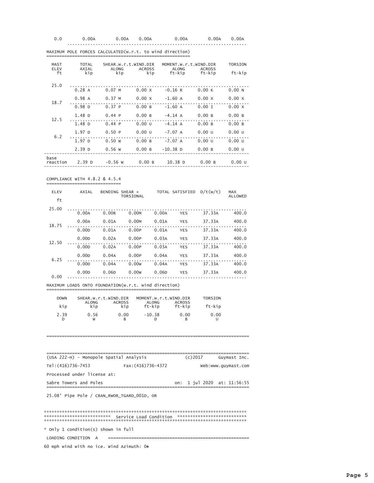| 0.0 | 0.00A | $0.00A$ $0.00A$ | 0.00A | 0.00A 0.00A |  |
|-----|-------|-----------------|-------|-------------|--|
|     |       |                 |       |             |  |

| <b>MAST</b><br>ELEV | <b>TOTAL</b><br>AXIAL | ALONG             | SHEAR.w.r.t.WIND.DIR<br>ACROSS | MOMENT.w.r.t.WIND.DIR<br>ALONG | ACROSS           | <b>TORSION</b>    |
|---------------------|-----------------------|-------------------|--------------------------------|--------------------------------|------------------|-------------------|
| ft                  | kip                   |                   |                                | kip kip ft-kip ft-kip          |                  | ft-kip            |
| 25.0                | 0.28A                 | $0.07$ M          | $0.00 \times$                  | $-0.16 R$                      | $0.00 \text{ K}$ | 0.00 N            |
|                     | 0.98A                 | $0.37 M$ $0.00 X$ |                                | $-1.60$ A $0.00$ X             |                  | $0.00 \times$     |
| 18.7                | 0.98 <sub>D</sub>     | 0.37P             | 0.00 B                         | $-1.60$ A                      | $0.00$ I         | $0.00 \times$     |
| 12.5                | 1.48 <sub>D</sub>     | 0.44P             | 0.00 B                         | $-4.14 A$                      | 0.00 B           | 0.00B             |
|                     | 1.48 <sub>D</sub>     | 0.44P             | 0.00U                          | $-4.14 A$                      | 0.00 B           | 0.00B             |
| 6.2                 | 1.97 <sub>D</sub>     | 0.50P             | 0.00 U                         | $-7.07$ A                      | 0.00U            | 0.00U             |
|                     | 1.97 <sub>D</sub>     | 0.50 w            | 0.00 B                         | $-7.07$ A                      | 0.00U            | 0.00U             |
|                     | 2.39 <sub>D</sub>     | 0.56 W            | 0.00 B                         | $-10.38$ D                     | 0.00 B           | 0.00 <sub>U</sub> |
| base<br>reaction    | 2.39 D                | $-0.56$ W         | $0.00 B$ 10.38 D               |                                | 0.00 B           | 0.00 <sub>U</sub> |

MAXIMUM POLE FORCES CALCULATED (w.r.t. to wind direction) 

COMPLIANCE WITH 4.8.2 & 4.5.4 ====================

| <b>ELEV</b> | AXIAL             | BENDING SHEAR + | TORSIONAL |       | TOTAL SATISFIED D/t(w/t) |        | <b>MAX</b><br>ALLOWED |
|-------------|-------------------|-----------------|-----------|-------|--------------------------|--------|-----------------------|
| ft          |                   |                 |           |       |                          |        |                       |
| 25.00       | 0.00A             | 0.00R           | 0.00M     | 0.00A | <b>YES</b>               | 37.33A | 400.0                 |
|             | 0.00A             | 0.01A           | 0.00M     | 0.01A | <b>YES</b>               | 37.33A | 400.0                 |
| 18.75       | 0.00D             | 0.01A           | 0.00P     | 0.01A | <b>YES</b>               | 37.33A | 400.0                 |
|             | 0.00 <sub>D</sub> | 0.02A           | 0.00P     | 0.03A | <b>YES</b>               | 37.33A | 400.0                 |
| 12.50       | 0.00D             | 0.02A           | 0.00P     | 0.03A | <b>YES</b>               | 37.33A | 400.0                 |
|             | 0.00 <sub>D</sub> | 0.04A           | 0.00P     | 0.04A | <b>YES</b>               | 37.33A | 400.0                 |
| 6.25        | 0.00D             | 0.04A           | 0.00w     | 0.04A | <b>YES</b>               | 37.33A | 400.0                 |
| 0.00        | 0.00 <sub>D</sub> | 0.06D           | 0.00w     | 0.06D | <b>YES</b>               | 37.33A | 400.0                 |

MAXIMUM LOADS ONTO FOUNDATION(w.r.t. wind direction)

| <b>DOWN</b> | SHEAR.w.r.t.WIND.DIR |                      | MOMENT.w.r.t.WIND.DIR  |                         | TORSION |
|-------------|----------------------|----------------------|------------------------|-------------------------|---------|
| kip         | <b>ALONG</b><br>kip  | <b>ACROSS</b><br>kip | <b>ALONG</b><br>ft-kip | <b>ACROSS</b><br>ft-kip | ft-kip  |
| 2.39        | 0.56<br>W            | 0.00                 | $-10.38$               | 0.00                    | 0.00    |

| (USA 222-H) - Monopole Spatial Analysis   | $(c)$ 2017<br>Guymast Inc.  |  |  |  |  |  |  |  |  |
|-------------------------------------------|-----------------------------|--|--|--|--|--|--|--|--|
| Tel: (416)736-7453<br>Fax: (416) 736-4372 | Web:www.quymast.com         |  |  |  |  |  |  |  |  |
| Processed under license at:               |                             |  |  |  |  |  |  |  |  |
| Sabre Towers and Poles                    | on: 1 jul 2020 at: 11:56:55 |  |  |  |  |  |  |  |  |

25.08' Pipe Pole / CRAN\_RWOR\_TGARD\_001D, OR

\* Only 1 condition(s) shown in full

 $=$ 

60 mph wind with no ice. Wind Azimuth: 00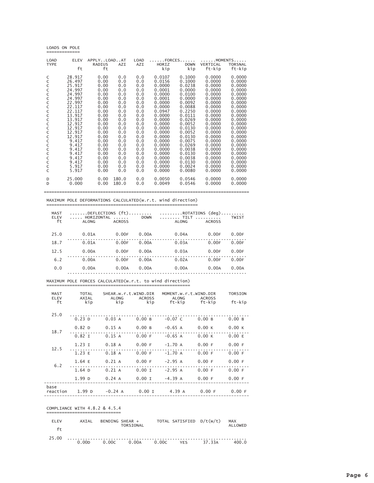#### LOADS ON POLE ========== =

 $\equiv$ 

| <b>LOAD</b>      | <b>ELEV</b> | APPLYLOADAT |       | <b>LOAD</b> | FORCES |             | MOMENTS  |                |
|------------------|-------------|-------------|-------|-------------|--------|-------------|----------|----------------|
| <b>TYPE</b>      |             | RADIUS      | AZI   | AZI         | HORIZ  | <b>DOWN</b> | VERTICAL | <b>TORSNAL</b> |
|                  | ft          | ft          |       |             | kip    | kip         | ft-kip   | ft-kip         |
|                  |             |             |       |             |        |             |          |                |
| C                | 28.917      | 0.00        | 0.0   | 0.0         | 0.0107 | 0.1000      | 0.0000   | 0.0000         |
| C<br>C<br>C      | 26.497      | 0.00        | 0.0   | 0.0         | 0.0156 | 0.1000      | 0.0000   | 0.0000         |
|                  | 25.917      | 0.00        | 0.0   | 0.0         | 0.0000 | 0.0238      | 0.0000   | 0.0000         |
|                  | 24.997      | 0.00        | 0.0   | 0.0         | 0.0001 | 0.0000      | 0.0000   | 0.0000         |
| C<br>C           | 24.997      | 0.00        | 0.0   | 0.0         | 0.0000 | 0.0100      | 0.0000   | 0.0000         |
|                  | 24.997      | 0.00        | 0.0   | 0.0         | 0.0001 | 0.0000      | 0.0000   | 0.0000         |
| C<br>C<br>C<br>C | 22.997      | 0.00        | 0.0   | 0.0         | 0.0000 | 0.0092      | 0.0000   | 0.0000         |
|                  | 22.117      | 0.00        | 0.0   | 0.0         | 0.0000 | 0.0088      | 0.0000   | 0.0000         |
|                  | 22.117      | 0.00        | 0.0   | 0.0         | 0.0947 | 0.2250      | 0.0000   | 0.0000         |
|                  | 13.917      | 0.00        | 0.0   | 0.0         | 0.0000 | 0.0111      | 0.0000   | 0.0000         |
| C<br>C           | 13.917      | 0.00        | 0.0   | 0.0         | 0.0000 | 0.0269      | 0.0000   | 0.0000         |
|                  | 12.917      | 0.00        | 0.0   | 0.0         | 0.0000 | 0.0052      | 0.0000   | 0.0000         |
| C                | 12.917      | 0.00        | 0.0   | 0.0         | 0.0000 | 0.0130      | 0.0000   | 0.0000         |
| C<br>C           | 12.917      | 0.00        | 0.0   | 0.0         | 0.0000 | 0.0052      | 0.0000   | 0.0000         |
|                  | 12.917      | 0.00        | 0.0   | 0.0         | 0.0000 | 0.0130      | 0.0000   | 0.0000         |
| $\mathsf{C}$     | 9.417       | 0.00        | 0.0   | 0.0         | 0.0000 | 0.0075      | 0.0000   | 0.0000         |
| Ċ                | 9.417       | 0.00        | 0.0   | 0.0         | 0.0000 | 0.0269      | 0.0000   | 0.0000         |
|                  | 9.417       | 0.00        | 0.0   | 0.0         | 0.0000 | 0.0038      | 0.0000   | 0.0000         |
|                  | 9.417       | 0.00        | 0.0   | 0.0         | 0.0000 | 0.0130      | 0.0000   | 0.0000         |
| C<br>C<br>C<br>C | 9.417       | 0.00        | 0.0   | 0.0         | 0.0000 | 0.0038      | 0.0000   | 0.0000         |
|                  | 9.417       | 0.00        | 0.0   | 0.0         | 0.0000 | 0.0130      | 0.0000   | 0.0000         |
| C                | 5.917       | 0.00        | 0.0   | 0.0         | 0.0000 | 0.0024      | 0.0000   | 0.0000         |
| $\overline{C}$   | 5.917       | 0.00        | 0.0   | 0.0         | 0.0000 | 0.0080      | 0.0000   | 0.0000         |
|                  |             |             |       |             |        |             |          |                |
| D                | 25,000      | 0.00        | 180.0 | 0.0         | 0.0050 | 0.0546      | 0.0000   | 0.0000         |
| D                | 0.000       | 0.00        | 180.0 | 0.0         | 0.0049 | 0.0546      | 0.0000   | 0.0000         |
|                  |             |             |       |             |        |             |          |                |
|                  |             |             |       |             |        |             |          |                |

MAXIMUM POLE DEFORMATIONS CALCULATED(w.r.t. wind direction) =====

| MAST<br>ELEV<br>ft | $\ldots$ HORIZONTAL $\ldots$<br>ALONG | ACROSS | <b>DOWN</b> | DEFLECTIONS (ft) ROTATIONS (deg)<br>ALONG | <b>ACROSS</b> | TWIST |
|--------------------|---------------------------------------|--------|-------------|-------------------------------------------|---------------|-------|
| 25.0               | 0.01A                                 | 0.00F  | 0.00A       | 0.04A                                     | 0.00F         | 0.00F |
| 18.7               | 0.01A                                 | 0.00F  | 0.00A       | 0.03A                                     | 0.00F         | 0.00F |
| 12.5               | 0.00A                                 | 0.00F  | 0.00A       | 0.03A                                     | 0.00F         | 0.00F |
| 6.2                | 0.00A                                 | 0.00F  | 0.00A       | 0.02A                                     | 0.00F         | 0.00F |
| 0.0                | 0.00A                                 | 0.00A  | 0.00A       | 0.00A                                     | 0.00A         | 0.00A |

MAXIMUM POLE FORCES CALCULATED(w.r.t. to wind direction)

| MAST<br>ELEV     | TOTAL<br>AXIAL    | SHEAR.w.r.t.WIND.DIR | ALONG ACROSS       | MOMENT.w.r.t.WIND.DIR<br>ALONG ACROSS |                 | <b>TORSION</b> |
|------------------|-------------------|----------------------|--------------------|---------------------------------------|-----------------|----------------|
| ft               | kip               |                      |                    | kip kip ft-kip ft-kip                 |                 | ft-kip         |
| 25.0             |                   |                      |                    |                                       |                 |                |
|                  | 0.23 <sub>D</sub> | $0.03 \text{ A}$     | 0.00B              | $-0.07$ C                             | 0.00B           | 0.00B          |
|                  | 0.82 <sub>D</sub> | 0.15 A               | $0.00 B - 0.65 A$  |                                       | 0.00K           | 0.00K          |
| 18.7             | .<br>$0.82$ I     | 0.15 A               | 0.00 F             | $-0.65$ A                             | 0.00K           | 0.00 E         |
|                  | $1.23$ I          | $0.18$ A             | 0.00 F             | $-1.70A$                              | $0.00 F$ 0.00 F |                |
| 12.5             | 1.23 E            | 0.18A                | 0.00 F             | $-1.70A$                              | 0.00 F          | 0.00 F         |
|                  | 1.64 E            | 0.21 A               | 0.00 F             | $-2.95 A$                             | 0.00 F          | 0.00 F         |
| 6.2              | 1.64 <sub>D</sub> | $0.21 \;{\rm A}$     | $0.00$ I $-2.95$ A |                                       | $0.00 F$ 0.00 F |                |
|                  | 1.99 <sub>D</sub> |                      |                    | 0.24 A 0.00 I -4.39 A 0.00 F          |                 | 0.00 F         |
| base<br>reaction |                   |                      |                    | 1.99 D - 0.24 A 0.00 I 4.39 A 0.00 F  |                 | 0.00 F         |
|                  |                   |                      |                    |                                       |                 |                |

#### COMPLIANCE WITH 4.8.2 & 4.5.4 ==========================  $=$

| FI FV | <b>AXTAI</b> | BENDING SHEAR + | <b>TORSTONAL</b> |                             | TOTAL SATISFIED D/t(w/t) |        | MAX<br>ALL OWED |
|-------|--------------|-----------------|------------------|-----------------------------|--------------------------|--------|-----------------|
|       |              |                 |                  |                             |                          |        |                 |
| 25.00 | 0.00D        |                 |                  | $0.00c$ $0.00A$ $0.00c$ YFS |                          | 37.33A | 400.0           |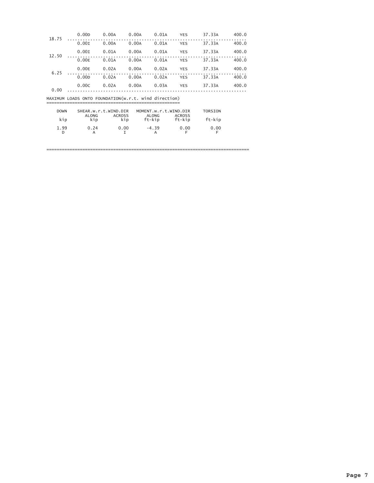| 18.75       | 0.00 <sub>D</sub>                                    | 0.00A                                 | 0.00A     | 0.01A                          | <b>YES</b>    | 37.33A         | 400.0 |
|-------------|------------------------------------------------------|---------------------------------------|-----------|--------------------------------|---------------|----------------|-------|
|             | 0.001                                                | 0.00A                                 | 0.00A     | 0.01A                          | <b>YES</b>    | 37.33A         | 400.0 |
| 12.50       | 0.001                                                | 0.01A                                 | 0.00A     | 0.01A                          | <b>YES</b>    | 37.33A         | 400.0 |
|             | 0.00E                                                | 0.01A                                 | 0.00A     | 0.01A                          | <b>YES</b>    | 37.33A         | 400.0 |
| 6.25        | 0.00E                                                | 0.02A                                 | 0.00A     | 0.02A                          | <b>YES</b>    | 37.33A         | 400.0 |
|             | 0.00 <sub>D</sub>                                    | 0.02A                                 | 0.00A     | 0.02A                          | <b>YES</b>    | 37.33A         | 400.0 |
| 0.00        | 0.00C                                                | 0.02A                                 | 0.00A     | 0.03A                          | <b>YES</b>    | 37.33A         | 400.0 |
|             | MAXIMUM LOADS ONTO FOUNDATION(w.r.t. wind direction) |                                       |           |                                |               |                |       |
| <b>DOWN</b> | <b>ALONG</b>                                         | SHEAR.w.r.t.WIND.DIR<br><b>ACROSS</b> |           | MOMENT.w.r.t.WIND.DIR<br>ALONG | <b>ACROSS</b> | <b>TORSION</b> |       |
| kip         | kip                                                  |                                       | kip       | ft-kip                         | ft-kip        | ft-kip         |       |
| 1.99<br>D   | 0.24<br>A                                            |                                       | 0.00<br>I | $-4.39$<br>A                   | 0.00<br>F     | 0.00<br>E      |       |
|             |                                                      |                                       |           |                                |               |                |       |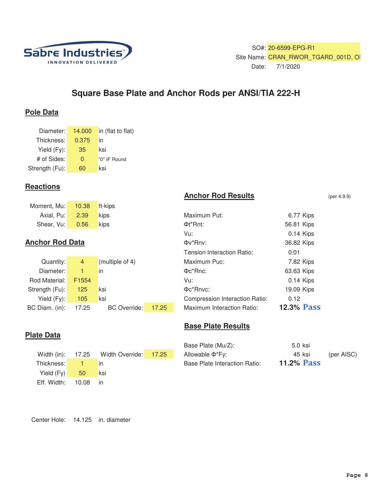

SO#: 20-6599-EPG-R1 Site Name: CRAN\_RWOR\_TGARD\_001D, OI Date: 7/1/2020

# **Square Base Plate and Anchor Rods per ANSI/TIA 222-H**

# **Pole Data**

| Diameter:      | 14.000 | in (flat to flat) |
|----------------|--------|-------------------|
| Thickness:     | 0.375  | in                |
| Yield (Fy):    | 35     | ksi               |
| # of Sides:    | O      | "0" IF Round      |
| Strength (Fu): | 60     | ksi               |

# **Reactions**

**Plate Data**

| Moment, Mu: 10.38 ft-kips |      |             |              |            |
|---------------------------|------|-------------|--------------|------------|
| Axial, Pu: 2.39           |      | <b>kips</b> | Maximum Put: | 6.77 Kips  |
| Shear, Vu:                | 0.56 | kips        | Φt*Rnt:      | 56.81 Kips |

# **Anchor Rod Data**

| Quantity:            | $\overline{4}$    | (multiple of 4)     |       | Maximum Puc:                          | 7.82 Kips  |
|----------------------|-------------------|---------------------|-------|---------------------------------------|------------|
| Diameter:            |                   | $\mathsf{I}$        |       | Фс*Rnc:                               | 63.63 Kips |
| Rod Material:        | F <sub>1554</sub> |                     |       | Vu:                                   | 0.14 Kips  |
| Strength (Fu):       | 125               | lksi.               |       | Фс*Rnvc:                              | 19.09 Kips |
| Yield $(Fy)$ :       | 105               | ksi                 |       | <b>Compression Interaction Ratio:</b> | 0.12       |
| BC Diam. (in): 17.25 |                   | <b>BC</b> Override: | 17.25 | Maximum Interaction Ratio:            | 12.3% Pas  |

# **Anchor Rod Results** (per 4.9.9)

| Axial, Pu:                 | 2.39           | kips                |       | Maximum Put:                   | 6.77 Kips         |  |
|----------------------------|----------------|---------------------|-------|--------------------------------|-------------------|--|
| Shear, Vu:                 | 0.56           | kips                |       | Φt <sup>*</sup> Rnt:           | 56.81 Kips        |  |
|                            |                |                     |       | Vu:                            | 0.14 Kips         |  |
| chor Rod Data              |                |                     |       | Φν*Rnv:                        | 36.82 Kips        |  |
|                            |                |                     |       | Tension Interaction Ratio:     | 0.01              |  |
| Quantity:                  | $\overline{4}$ | (multiple of 4)     |       | Maximum Puc:                   | 7.82 Kips         |  |
| Diameter:                  |                | in                  |       | $\Phi c^*$ Rnc:                | 63.63 Kips        |  |
| d Material:                | F1554          |                     |       | Vu:                            | 0.14 Kips         |  |
| ength (Fu): <mark>I</mark> | 125            | ksi                 |       | Фс*Rnvc:                       | 19.09 Kips        |  |
| Yield $(Fy)$ :             | 105            | ksi                 |       | Compression Interaction Ratio: | 0.12              |  |
| Diam. (in):                | 17.25          | <b>BC</b> Override: | 17.25 | Maximum Interaction Ratio:     | <b>12.3% Pass</b> |  |

# **Base Plate Results**

|                   |                       | Base Plate (Mu/Z):            | 5.0 ksi           |            |
|-------------------|-----------------------|-------------------------------|-------------------|------------|
| Width (in): 17.25 | Width Override: 17.25 | Allowable Φ*Fy:               | 45 ksi            | (per AISC) |
| Thickness: I      | in                    | Base Plate Interaction Ratio: | <b>11.2% Pass</b> |            |

|                 |          | Width (in): 17.25 Width Override: 17.25 | Allowable $\Phi^*$ Fy:        | 45 ksi            | (per AISC) |
|-----------------|----------|-----------------------------------------|-------------------------------|-------------------|------------|
| Thickness:      |          | <b>in</b>                               | Base Plate Interaction Ratio: | <b>11.2% Pass</b> |            |
| Yield $(Fy)$ 50 |          | <b>KSI</b>                              |                               |                   |            |
| Eff. Width:     | 10.08 in |                                         |                               |                   |            |

Center Hole: 14.125 in. diameter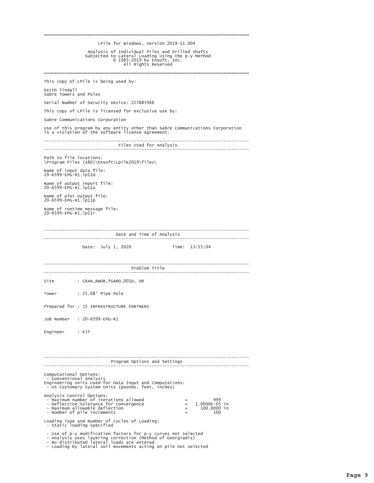| LPile for Windows, Version 2019-11.004<br>Analysis of Individual Piles and Drilled Shafts<br>Subjected to Lateral Loading Using the p-y Method<br>© 1985-2019 by Ensoft, Inc.<br>All Rights Reserved                                                                     |
|--------------------------------------------------------------------------------------------------------------------------------------------------------------------------------------------------------------------------------------------------------------------------|
| This copy of LPile is being used by:                                                                                                                                                                                                                                     |
| Keith Tindall<br>Sabre Towers and Poles                                                                                                                                                                                                                                  |
| Serial Number of Security Device: 227885948                                                                                                                                                                                                                              |
| This copy of LPile is licensed for exclusive use by:                                                                                                                                                                                                                     |
| Sabre Communications Corporation                                                                                                                                                                                                                                         |
| Use of this program by any entity other than Sabre Communications Corporation<br>is a violation of the software license agreement.                                                                                                                                       |
| -------------------------------<br>Files Used for Analysis<br>------------------------                                                                                                                                                                                   |
| Path to file locations:<br>\Program Files (x86)\Ensoft\Lpile2019\files\                                                                                                                                                                                                  |
| Name of input data file:<br>20-6599-EPG-R1. 1p11d                                                                                                                                                                                                                        |
| Name of output report file:<br>20-6599-EPG-R1.1p11o                                                                                                                                                                                                                      |
| Name of plot output file:<br>20-6599-EPG-R1.1p11p                                                                                                                                                                                                                        |
| Name of runtime message file:<br>20-6599-EPG-R1.1p11r                                                                                                                                                                                                                    |
| Date and Time of Analysis                                                                                                                                                                                                                                                |
| --------------------------------                                                                                                                                                                                                                                         |
| Date: July 1, 2020<br>Time: 13:55:04                                                                                                                                                                                                                                     |
| Problem Title                                                                                                                                                                                                                                                            |
| Site<br>: CRAN_RWOR_TGARD_001D, OR                                                                                                                                                                                                                                       |
| : 25.08' Pipe Pole<br>Tower                                                                                                                                                                                                                                              |
| Prepared for : J5 INFRASTRUCTURE PARTNERS                                                                                                                                                                                                                                |
| Job Number : 20-6599-EPG-R1                                                                                                                                                                                                                                              |
| Engineer : KJT                                                                                                                                                                                                                                                           |
| ----------------------<br>Program Options and Settings                                                                                                                                                                                                                   |
| -------------------<br>. <u>.</u> .<br>Computational Options:<br>- Conventional Analysis<br>Engineering Units Used for Data Input and Computations:<br>- US Customary System Units (pounds, feet, inches)                                                                |
| Analysis Control Options:<br>- Maximum number of iterations allowed<br>999<br>$=$<br>- Deflection tolerance for convergence<br>$1.0000E-05$ in<br>$=$<br>- Maximum allowable deflection<br>100.0000 in<br>$=$<br>- Number of pile increments<br>100<br>$\qquad \qquad =$ |
| Loading Type and Number of Cycles of Loading:<br>- Static loading specified                                                                                                                                                                                              |
| - Use of p-y modification factors for p-y curves not selected<br>- Analysis uses layering correction (Method of Georgiadis)<br>- No distributed lateral loads are entered<br>- Loading by lateral soil movements acting on pile not selected                             |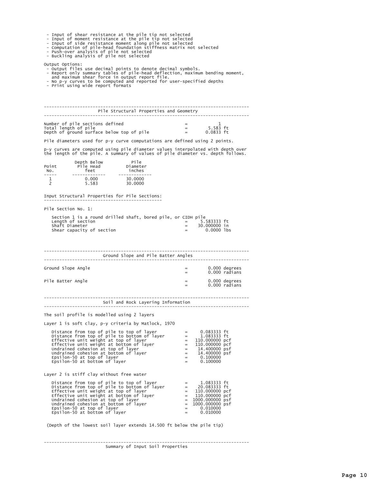|  |  | - Input of shear resistance at the pile tip not selected |  |  |  |  |
|--|--|----------------------------------------------------------|--|--|--|--|

- 
- Input of smear resistance at the pile tip not selected<br>- Input of moment resistance at the pile tip not selected<br>- Input of side resistance moment along pile not selected<br>- Computation of pile-head foundation stiffness m
- 
- 

Output Options:

- 
- Output Options:<br>- expert files use decimal points to denote decimal symbols.<br>- Report only summary tables of pile-head deflection, maximum bending moment,<br>- Report only summary tables of pile-head deflection, maximum ben
- 
- 

|                      |                                                                                                                                                                                                                                                                                                                                                                               | Pile Structural Properties and Geometry |                             |                                               |   |                                |
|----------------------|-------------------------------------------------------------------------------------------------------------------------------------------------------------------------------------------------------------------------------------------------------------------------------------------------------------------------------------------------------------------------------|-----------------------------------------|-----------------------------|-----------------------------------------------|---|--------------------------------|
| Total length of pile | Number of pile sections defined<br>Depth of ground surface below top of pile                                                                                                                                                                                                                                                                                                  |                                         | $\frac{1}{2}$               | 5.583 ft<br>$0.0833$ ft                       | 1 |                                |
|                      | Pile diameters used for p-y curve computations are defined using 2 points.                                                                                                                                                                                                                                                                                                    |                                         |                             |                                               |   |                                |
|                      | p-y curves are computed using pile diameter values interpolated with depth over<br>the length of the pile. A summary of values of pile diameter vs. depth follows.                                                                                                                                                                                                            |                                         |                             |                                               |   |                                |
| NO.<br>----          |                                                                                                                                                                                                                                                                                                                                                                               |                                         |                             |                                               |   |                                |
| 1<br>$\overline{2}$  |                                                                                                                                                                                                                                                                                                                                                                               |                                         |                             |                                               |   |                                |
|                      | Input Structural Properties for Pile Sections:                                                                                                                                                                                                                                                                                                                                |                                         |                             |                                               |   |                                |
| Pile Section No. 1:  |                                                                                                                                                                                                                                                                                                                                                                               |                                         |                             |                                               |   |                                |
| Shaft Diameter       | Section 1 is a round drilled shaft, bored pile, or CIDH pile<br>Length of section $=$ 5.<br>Shear capacity of section                                                                                                                                                                                                                                                         |                                         | $=$                         | $=$ 5.583333 ft<br>30.000000 in<br>0.0000 lbs |   |                                |
|                      |                                                                                                                                                                                                                                                                                                                                                                               | Ground Slope and Pile Batter Angles     |                             |                                               |   |                                |
| Ground Slope Angle   |                                                                                                                                                                                                                                                                                                                                                                               |                                         | $=$<br>$=$                  |                                               |   | 0.000 degrees<br>0.000 radians |
| Pile Batter Angle    |                                                                                                                                                                                                                                                                                                                                                                               |                                         | $=$<br>$\frac{1}{2}$        |                                               |   | 0.000 degrees<br>0.000 radians |
|                      |                                                                                                                                                                                                                                                                                                                                                                               | Soil and Rock Layering Information      |                             |                                               |   |                                |
|                      | The soil profile is modelled using 2 layers                                                                                                                                                                                                                                                                                                                                   |                                         |                             |                                               |   |                                |
|                      | Layer 1 is soft clay, p-y criteria by Matlock, 1970                                                                                                                                                                                                                                                                                                                           |                                         |                             |                                               |   |                                |
|                      | Distance from top of pile to top of layer = $0.083333$ ft<br>Distance from top of pile to bottom of layer = $1.083333$ ft<br>Effective unit weight at top of layer = $110.000000$ pcf<br>Effective unit weight at bottom of layer =<br>Epsilon-50 at bottom of layer                                                                                                          |                                         | $=$                         | 0.100000                                      |   |                                |
|                      | Layer 2 is stiff clay without free water                                                                                                                                                                                                                                                                                                                                      |                                         |                             |                                               |   |                                |
|                      | Distance from top of pile to top of layer = $1.083333$ ft<br>Distance from top of pile to bottom of layer = $20.083333$ ft<br>Effective unit weight at top of layer = $110.000000$ pcf<br>Effective unit weight at bottom of layer<br>Enside cohesion at top of layer<br>Undrained cohesion at bottom of layer<br>Epsilon-50 at top of layer<br>Epsilon-50 at bottom of layer |                                         | $=$ $\,$<br>$\equiv$<br>$=$ | 1000.000000 psf<br>0.010000<br>0.010000       |   |                                |

(Depth of the lowest soil layer extends 14.500 ft below the pile tip)

Summary of Input Soil Properties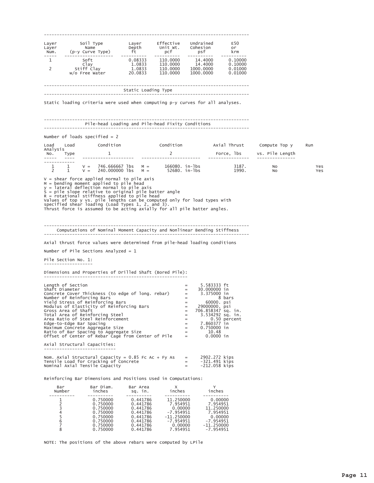$F50$ Layer Laver or  $\begin{matrix}\n\text{Coues 101} \\
\text{psf} \\
-\text{Souss 14.4000} \\
14.4000 \\
\text{Souss 14.4000}\n\end{matrix}$  $km$ Num.  $110.0000$  $-- 0.10000$ 0.08333  $1$ 1.0833  $0.10000$  $2^{\circ}$ 1.0833 110.0000 1000.0000 0.01000 20.0833 110,0000  $1000.0000$  $0.01000$ --------------------------------------------------------------------\_\_\_\_\_\_\_\_\_\_\_\_\_\_\_\_\_\_\_\_\_\_\_\_\_\_\_\_\_\_\_\_ Static loading criteria were used when computing p-y curves for all analyses. ----------------Pile-head Loading and Pile-head Fixity Conditions -----------------Number of loads specified =  $2$ Condition Condition Axial Thrust Load Load Compute Top y Run Analysis<br>No. Type<br>---- ---lbs vs. Pile Length  $\overline{\mathbf{1}}$ Force, lbs  $\overline{2}$ \_\_\_\_\_\_\_\_\_\_\_\_ V = 746.666667 lbs M = 166080. in-1bs 3187. No<br>V = 240.000000 lbs M = 52680. in-1bs 1990. No  $\mathbf{1}$  $\frac{1}{1}$ Yes  $\overline{2}$ Yes V = shear force applied normal to pile axis<br>
M = bending moment applied to pile head<br>
y = lateral deflection normal to pile axis<br>
S = pile slope relative to original pile batter angle<br>
R = rotational stiffness applied to p Computations of Nominal Moment Capacity and Nonlinear Bending Stiffness Axial thrust force values were determined from pile-head loading conditions Number of Pile Sections Analyzed =  $1$ Pile Section No. 1: Dimensions and Properties of Drilled Shaft (Bored Pile): =<br>
Shaft Diameter<br>
concrete Cover Thickness (to edge of long. rebar) =<br>
=<br>
= 5.583333 ft<br>30.000000 in<br>3.37500<u>0</u> in Concrete Cover Tuncking Bars<br>
Number of Reinforcing Bars<br>
Yield Stress of Reinforcing Bars<br>
Modulus of Elasticity of Reinforcing Bars 8 bars 8 bars<br>
8 bars<br>
29000000. psi<br>
706.858347 sq. in.<br>
3.534292 sq. in.<br>
7.860377 in<br>
0.750000 in<br>
10.48<br>
0.0000 in  $=$ Moutube of Shaft<br>Total Area of Shaft<br>Total Area of Reinforcing Steel<br>Area Ratio of Steel Reinforcement  $=$  $\equiv$  $\equiv$ Edge-to-Edge Bar Spacing  $\equiv$ Maximum Concrete Aggregate Size<br>Ratio of Bar Spacing to Aggregate Size<br>Offset of Center of Rebar Cage from Center of Pile  $=$  $=$   $\,$  $0.0000$  in  $=$ Axial Structural Capacities: Nom. Axial Structural Capacity = 0.85 Fc Ac + Fy As<br>Tensile Load for Cracking of Concrete<br>Nominal Axial Tensile Capacity  $\equiv$ 2902.272 kips  $-321.491$  kips<br> $-212.058$  kips  $=$  $=$ Reinforcing Bar Dimensions and Positions Used in Computations: Bar Diam. Bar Area Bar  $\times$  $\overline{\text{inches}}$ inches inches Number sq. in.  $0.441786\n0.441796$ -------- $0.750000$  $\mathbf{1}$  $\begin{array}{c} 0.441/86\ 0.441786\ 0.441786\ 0.441786\ 0.441786\ 0.441786\ 0.441786\ 0.441786\ 0.441786\ \end{array}$ 0.750000<br>0.750000<br>0.750000  $\overline{2}$  $\overline{z}$  $\frac{3}{4}$  $\overline{5}$ 0.750000 0.750000  $\frac{6}{7}$ 0.750000<br>0.750000

7.954951

NOTE: The positions of the above rebars were computed by LPile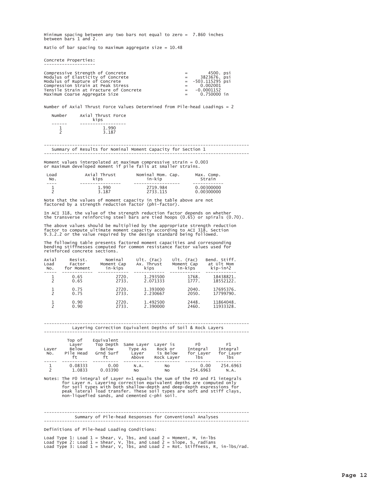Minimum spacing between any two bars not equal to zero = 7.860 inches between bars 1 and 2.

Ratio of bar spacing to maximum aggregate size =  $10.48$ 

Concrete Properties:

| Compressive Strength of Concrete       | $=$ $-$ | 4500. psi           |
|----------------------------------------|---------|---------------------|
| Modulus of Elasticity of Concrete      | $=$     | 3823676. psi        |
| Modulus of Rupture of Concrete         |         | $= -503.115295$ psi |
| Compression Strain at Peak Stress      |         | $= 0.002001$        |
| Tensile Strain at Fracture of Concrete |         | $= -0.0001152$      |
| Maximum Coarse Aggregate Size          |         | $= 0.750000$ in     |

Number of Axial Thrust Force Values Determined from Pile-head Loadings = 2

| Number | Axial Thrust Force<br>kips |
|--------|----------------------------|
|        |                            |
|        | 1.990                      |
|        | 3.187                      |

#### -----------------Summary of Results for Nominal Moment Capacity for Section 1 . \_ \_ \_ \_ \_ \_ \_ \_ \_ \_ \_ \_ \_ \_ \_ \_

Moment values interpolated at maximum compressive strain =  $0.003$  or maximum developed moment if pile fails at smaller strains.

| Load | Axial Thrust | Nominal Mom. Cap. | Max. Comp. |
|------|--------------|-------------------|------------|
| NO.  | kips         | in-kip            | Strain     |
|      |              |                   |            |
|      | 1.990        | 2719.984          | 0.00300000 |
|      | 3.187        | 2733.115          | 0.00300000 |

Note that the values of moment capacity in the table above are not factored by a strength reduction factor (phi-factor).

In ACI 318, the value of the strength reduction factor depends on whether<br>the transverse reinforcing steel bars are tied hoops (0.65) or spirals (0.70).

The above values should be multiplied by the appropriate strength reduction<br>factor to compute ultimate moment capacity according to ACI 318, Section 9.3.2.2 or the value required by the design standard being followed.

The following table presents factored moment capacities and corresponding<br>bending stiffnesses computed for common resistance factor values used for<br>reinforced concrete sections.

| Axial         | Resist.    | Nominal    | $U$ ]t. $(Fac)$ | $U$ ]t. $(Fac)$ | Bend. Stiff. |
|---------------|------------|------------|-----------------|-----------------|--------------|
| Load          | Factor     | Moment Cap | Ax. Thrust      | Moment Cap      | at Ult Mom   |
| NO.           | for Moment | in-kips    | kips            | in-kips         | kip-in^2     |
|               | 0.65       | 2720.      | 1.293500        | 1768.           | 18438821.    |
|               | 0.65       | 2733.      | 2.071333        | 1777.           | 18552122.    |
| $\mathcal{P}$ | 0.75       | 2720.      | 1.393000        | 2040.           | 17695376.    |
|               | 0.75       | 2733.      | 2.230667        | 2050.           | 17799790.    |
|               | 0.90       | 2720.      | 1.492500        | 2448.           | 11864048.    |
|               | 0.90       | 2733.      | 2.390000        | 2460.           | 11933328.    |

|                          |                                             |                                                      |                                         | Layering Correction Equivalent Depths of Soil & Rock Layers |                                                |                                    |
|--------------------------|---------------------------------------------|------------------------------------------------------|-----------------------------------------|-------------------------------------------------------------|------------------------------------------------|------------------------------------|
| Layer<br>NO.             | Top of<br>Layer<br>Below<br>Pile Head<br>ft | Equivalent<br>Top Depth<br><b>Below</b><br>Grnd Surf | Same Layer<br>Type As<br>Layer<br>Above | Layer is<br>Rock or<br>is Below<br>Rock Layer               | F <sub>0</sub><br>Integral<br>for Layer<br>1bs | F1<br>Integral<br>for Layer<br>1bs |
| $\overline{\phantom{0}}$ | 0.08333<br>1.0833                           | 0.00<br>0.03390                                      | N.A.<br>N <sub>O</sub>                  | No<br>No                                                    | 0.00<br>254.6963                               | 254.6963<br>N.A.                   |

Notes: The F0 integral of Layer n+1 equals the sum of the F0 and F1 integrals<br>for Layer n. Layering correction equivalent depths are computed only<br>for soil types with both shallow-depth and deep-depth expressions for<br>peak

|  |  | Summary of Pile-head Responses for Conventional Analyses |  |
|--|--|----------------------------------------------------------|--|
|  |  |                                                          |  |

Definitions of Pile-head Loading Conditions:

Load Type 1: Load  $1 =$  Shear, V, lbs, and Load  $2 =$  Moment, M, in-lbs<br>Load Type 2: Load  $1 =$  Shear, V, lbs, and Load  $2 =$  Slope, S, radians<br>Load Type 3: Load  $1 =$  Shear, V, lbs, and Load  $2 =$  Rot. Stiffness, R, in-lbs/rad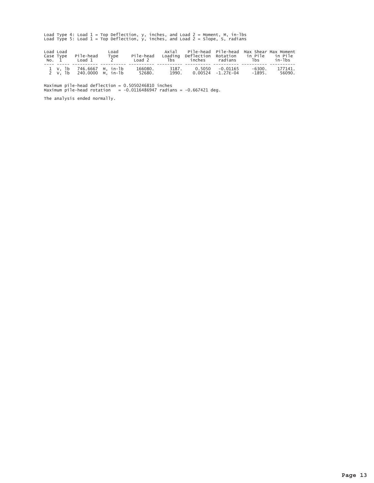Load Type 4: Load  $1 = Top$  Deflection, y, inches, and Load  $2 = Moment$ , M, in-lbs<br>Load Type 5: Load  $1 = Top$  Deflection, y, inches, and Load  $2 = Slope$ , S, radians

| Load Load | Case Type Pile-head<br>No. 1 Load 1                    | Load<br>Type | Pile-head         | Axial Pile-head Pile-head Max Shear Max Moment<br>Loading Deflection Rotation in-Pile in-Pile<br>Load 2 lbs inches radians lbs in-lbs |                  |                   |
|-----------|--------------------------------------------------------|--------------|-------------------|---------------------------------------------------------------------------------------------------------------------------------------|------------------|-------------------|
|           | 1 v, 1b 746.6667 M, in-1b<br>2 V. 1b 240.0000 M. in-1b |              | 166080.<br>52680. | 3187. 0.5050 -0.01165<br>1990. 0.00524 -1.27E-04                                                                                      | -6300.<br>-1895. | 177141.<br>56090. |

Maximum pile-head deflection =  $0.5050246810$  inches<br>Maximum pile-head rotation = -0.0116486947 radians = -0.667421 deg.

The analysis ended normally.